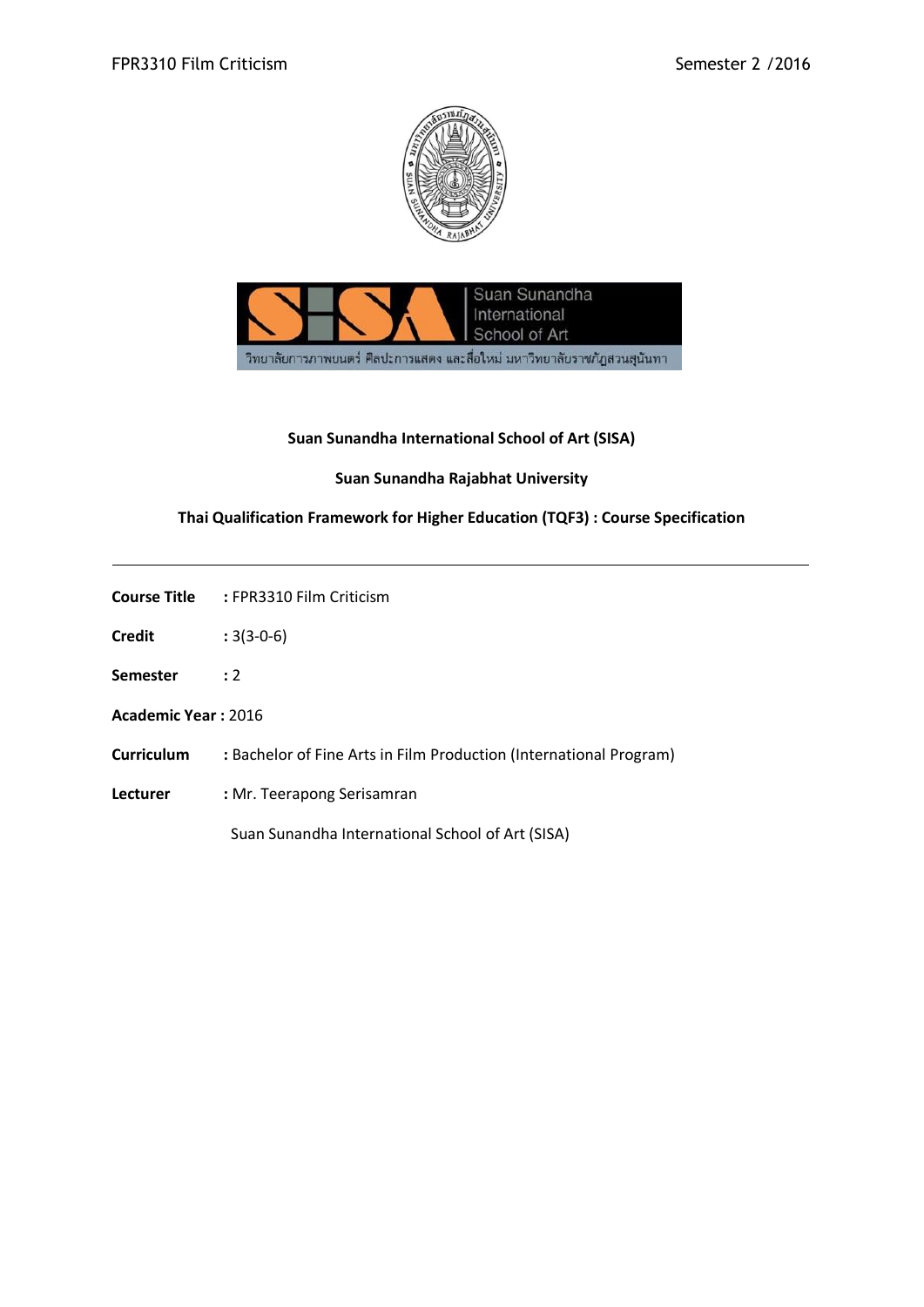



## **Suan Sunandha International School of Art (SISA)**

## **Suan Sunandha Rajabhat University**

## **Thai Qualification Framework for Higher Education (TQF3) : Course Specification**

| Course Title | : FPR3310 Film Criticism |
|--------------|--------------------------|
|              |                          |

- **Credit :** 3(3-0-6)
- **Semester :** 2
- **Academic Year :** 2016
- **Curriculum :** Bachelor of Fine Arts in Film Production (International Program)
- **Lecturer :** Mr. Teerapong Serisamran

Suan Sunandha International School of Art (SISA)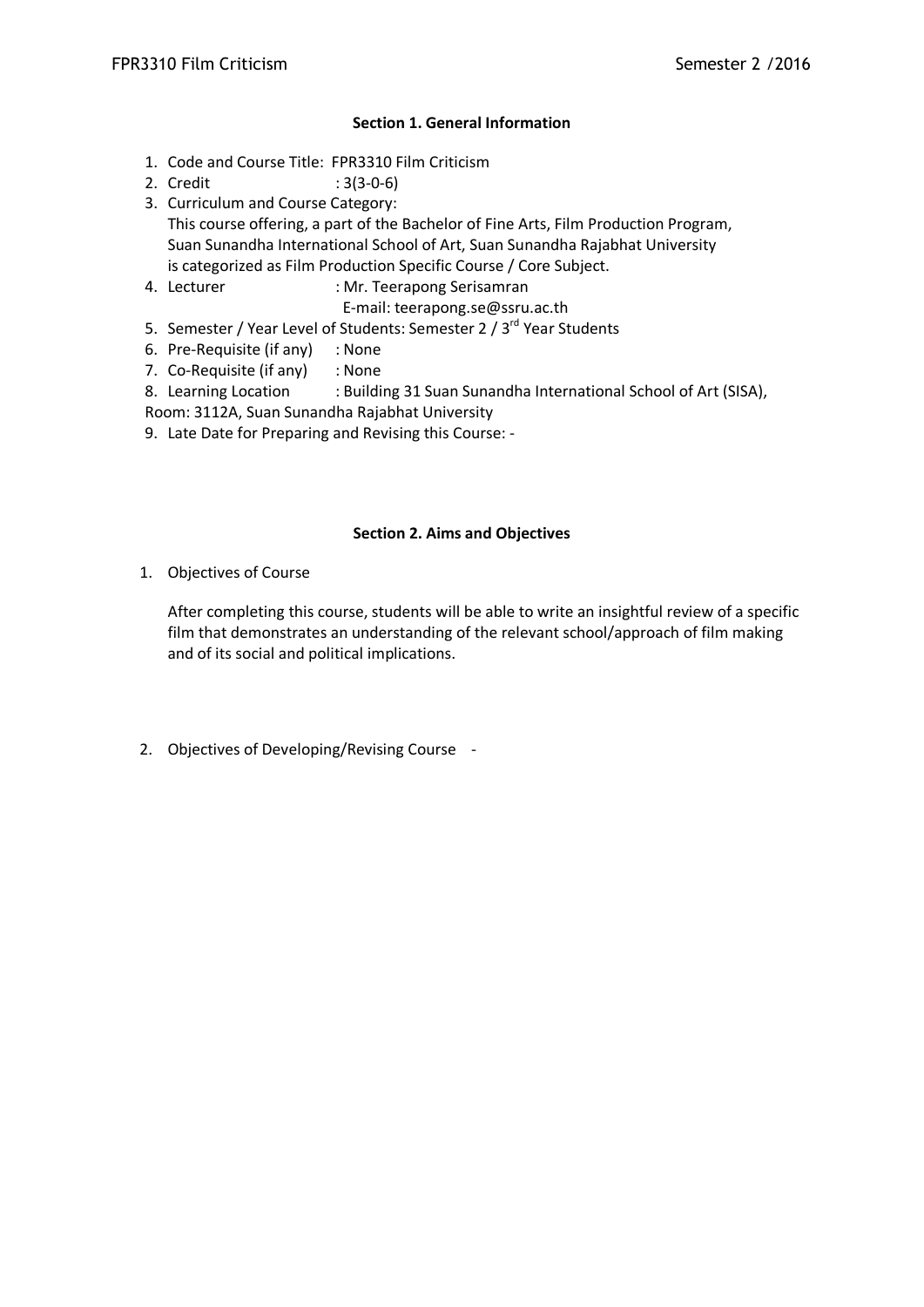## **Section 1. General Information**

- 1. Code and Course Title: FPR3310 Film Criticism
- 2. Credit : 3(3-0-6)
- 3. Curriculum and Course Category: This course offering, a part of the Bachelor of Fine Arts, Film Production Program, Suan Sunandha International School of Art, Suan Sunandha Rajabhat University is categorized as Film Production Specific Course / Core Subject.
- 4. Lecturer : Mr. Teerapong Serisamran
	- E-mail: teerapong.se@ssru.ac.th
- 5. Semester / Year Level of Students: Semester 2 / 3<sup>rd</sup> Year Students
- 6. Pre-Requisite (if any) : None
- 7. Co-Requisite (if any) : None
- 8. Learning Location : Building 31 Suan Sunandha International School of Art (SISA),
- Room: 3112A, Suan Sunandha Rajabhat University
- 9. Late Date for Preparing and Revising this Course: -

## **Section 2. Aims and Objectives**

1. Objectives of Course

After completing this course, students will be able to write an insightful review of a specific film that demonstrates an understanding of the relevant school/approach of film making and of its social and political implications.

2. Objectives of Developing/Revising Course -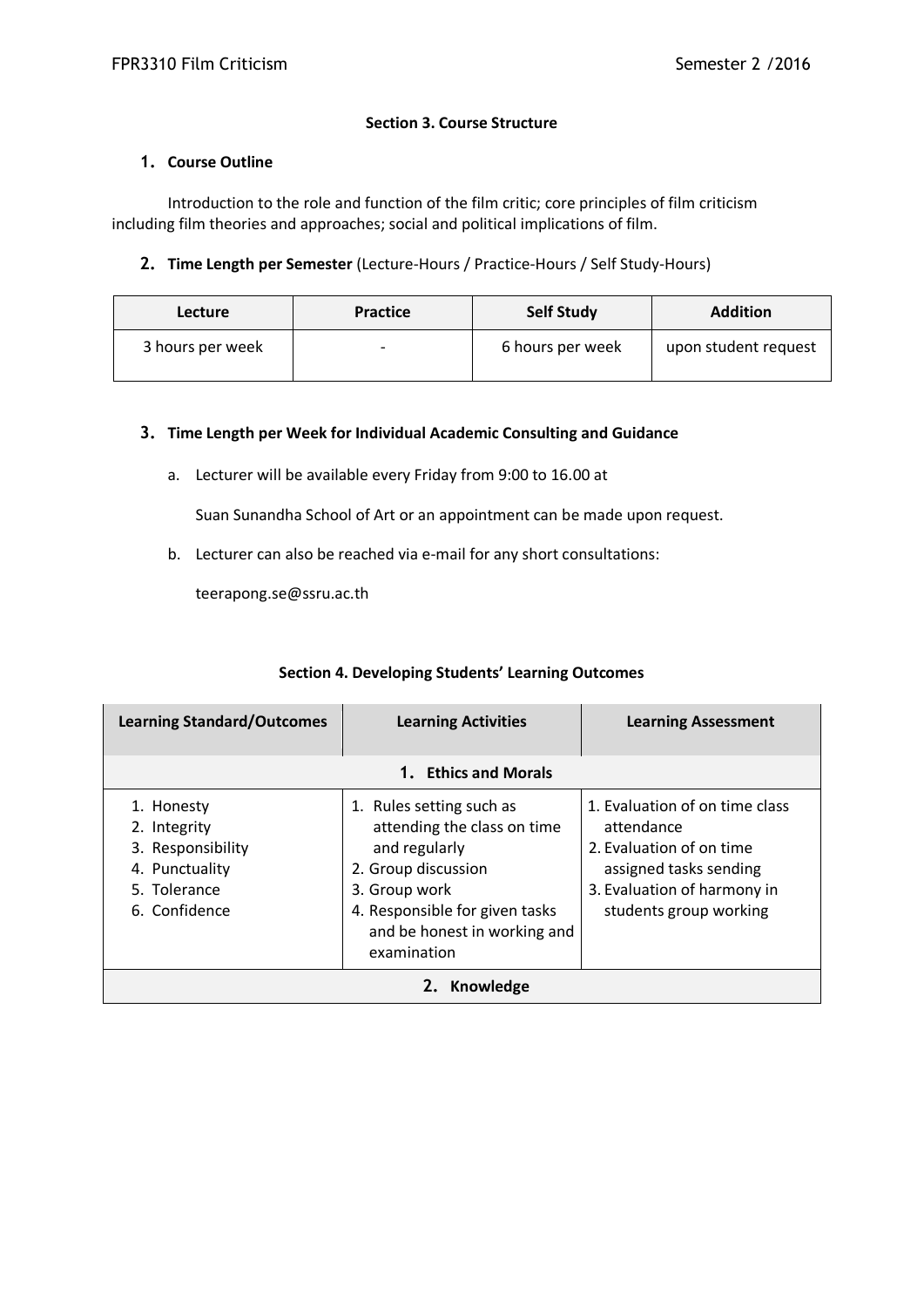### **Section 3. Course Structure**

### **1. Course Outline**

Introduction to the role and function of the film critic; core principles of film criticism including film theories and approaches; social and political implications of film.

## **2. Time Length per Semester** (Lecture-Hours / Practice-Hours / Self Study-Hours)

| Lecture          | <b>Practice</b>          | <b>Self Study</b> | <b>Addition</b>      |
|------------------|--------------------------|-------------------|----------------------|
| 3 hours per week | $\overline{\phantom{0}}$ | 6 hours per week  | upon student request |

### **3. Time Length per Week for Individual Academic Consulting and Guidance**

a. Lecturer will be available every Friday from 9:00 to 16.00 at

Suan Sunandha School of Art or an appointment can be made upon request.

b. Lecturer can also be reached via e-mail for any short consultations:

teerapong.se@ssru.ac.th

| <b>Learning Standard/Outcomes</b>                                                                  | <b>Learning Activities</b>                                                                                                                                                                        | <b>Learning Assessment</b>                                                                                                                                  |  |  |
|----------------------------------------------------------------------------------------------------|---------------------------------------------------------------------------------------------------------------------------------------------------------------------------------------------------|-------------------------------------------------------------------------------------------------------------------------------------------------------------|--|--|
|                                                                                                    | 1. Ethics and Morals                                                                                                                                                                              |                                                                                                                                                             |  |  |
| 1. Honesty<br>2. Integrity<br>3. Responsibility<br>4. Punctuality<br>5. Tolerance<br>6. Confidence | 1. Rules setting such as<br>attending the class on time<br>and regularly<br>2. Group discussion<br>3. Group work<br>4. Responsible for given tasks<br>and be honest in working and<br>examination | 1. Evaluation of on time class<br>attendance<br>2. Evaluation of on time<br>assigned tasks sending<br>3. Evaluation of harmony in<br>students group working |  |  |
| Knowledge                                                                                          |                                                                                                                                                                                                   |                                                                                                                                                             |  |  |

#### **Section 4. Developing Students' Learning Outcomes**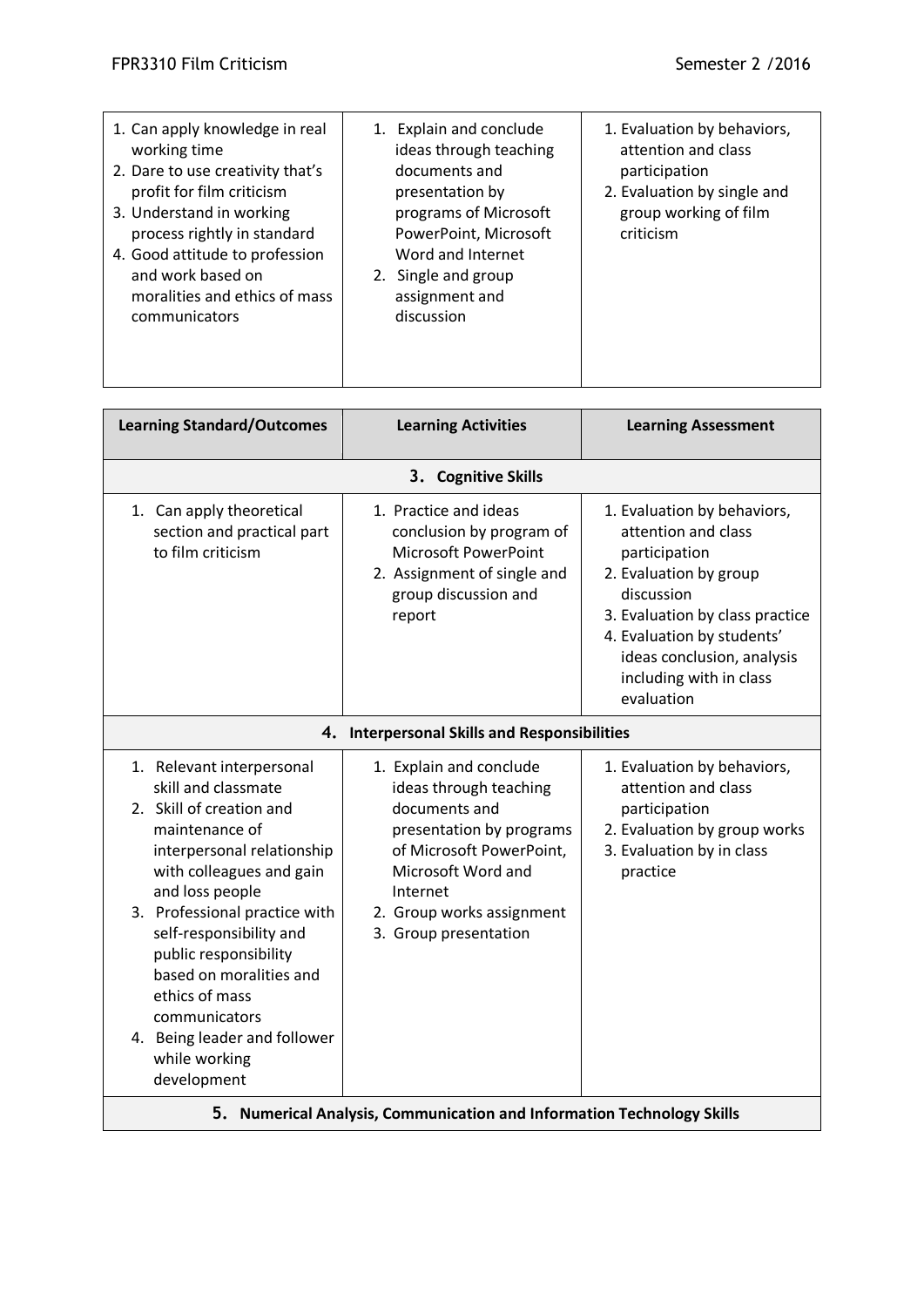| 1. Can apply knowledge in real<br>working time<br>2. Dare to use creativity that's<br>profit for film criticism<br>3. Understand in working<br>process rightly in standard<br>4. Good attitude to profession<br>and work based on<br>moralities and ethics of mass<br>communicators | 1. Explain and conclude<br>ideas through teaching<br>documents and<br>presentation by<br>programs of Microsoft<br>PowerPoint, Microsoft<br>Word and Internet<br>2. Single and group<br>assignment and<br>discussion | 1. Evaluation by behaviors,<br>attention and class<br>participation<br>2. Evaluation by single and<br>group working of film<br>criticism                                                                                                            |  |
|-------------------------------------------------------------------------------------------------------------------------------------------------------------------------------------------------------------------------------------------------------------------------------------|---------------------------------------------------------------------------------------------------------------------------------------------------------------------------------------------------------------------|-----------------------------------------------------------------------------------------------------------------------------------------------------------------------------------------------------------------------------------------------------|--|
| <b>Learning Standard/Outcomes</b>                                                                                                                                                                                                                                                   | <b>Learning Activities</b>                                                                                                                                                                                          | <b>Learning Assessment</b>                                                                                                                                                                                                                          |  |
|                                                                                                                                                                                                                                                                                     | <b>Cognitive Skills</b><br>3.                                                                                                                                                                                       |                                                                                                                                                                                                                                                     |  |
| 1. Can apply theoretical<br>section and practical part<br>to film criticism                                                                                                                                                                                                         | 1. Practice and ideas<br>conclusion by program of<br><b>Microsoft PowerPoint</b><br>2. Assignment of single and<br>group discussion and<br>report                                                                   | 1. Evaluation by behaviors,<br>attention and class<br>participation<br>2. Evaluation by group<br>discussion<br>3. Evaluation by class practice<br>4. Evaluation by students'<br>ideas conclusion, analysis<br>including with in class<br>evaluation |  |
| 4. Interpersonal Skills and Responsibilities                                                                                                                                                                                                                                        |                                                                                                                                                                                                                     |                                                                                                                                                                                                                                                     |  |

| 1. Relevant interpersonal<br>skill and classmate<br>2. Skill of creation and<br>maintenance of<br>interpersonal relationship<br>with colleagues and gain<br>and loss people<br>3. Professional practice with<br>self-responsibility and<br>public responsibility<br>based on moralities and<br>ethics of mass<br>communicators<br>4. Being leader and follower<br>while working<br>development | 1. Explain and conclude<br>ideas through teaching<br>documents and<br>presentation by programs<br>of Microsoft PowerPoint,<br>Microsoft Word and<br>Internet<br>2. Group works assignment<br>3. Group presentation | 1. Evaluation by behaviors,<br>attention and class<br>participation<br>2. Evaluation by group works<br>3. Evaluation by in class<br>practice |  |  |  |
|------------------------------------------------------------------------------------------------------------------------------------------------------------------------------------------------------------------------------------------------------------------------------------------------------------------------------------------------------------------------------------------------|--------------------------------------------------------------------------------------------------------------------------------------------------------------------------------------------------------------------|----------------------------------------------------------------------------------------------------------------------------------------------|--|--|--|
|                                                                                                                                                                                                                                                                                                                                                                                                | 5. Numerical Analysis, Communication and Information Technology Skills                                                                                                                                             |                                                                                                                                              |  |  |  |
|                                                                                                                                                                                                                                                                                                                                                                                                |                                                                                                                                                                                                                    |                                                                                                                                              |  |  |  |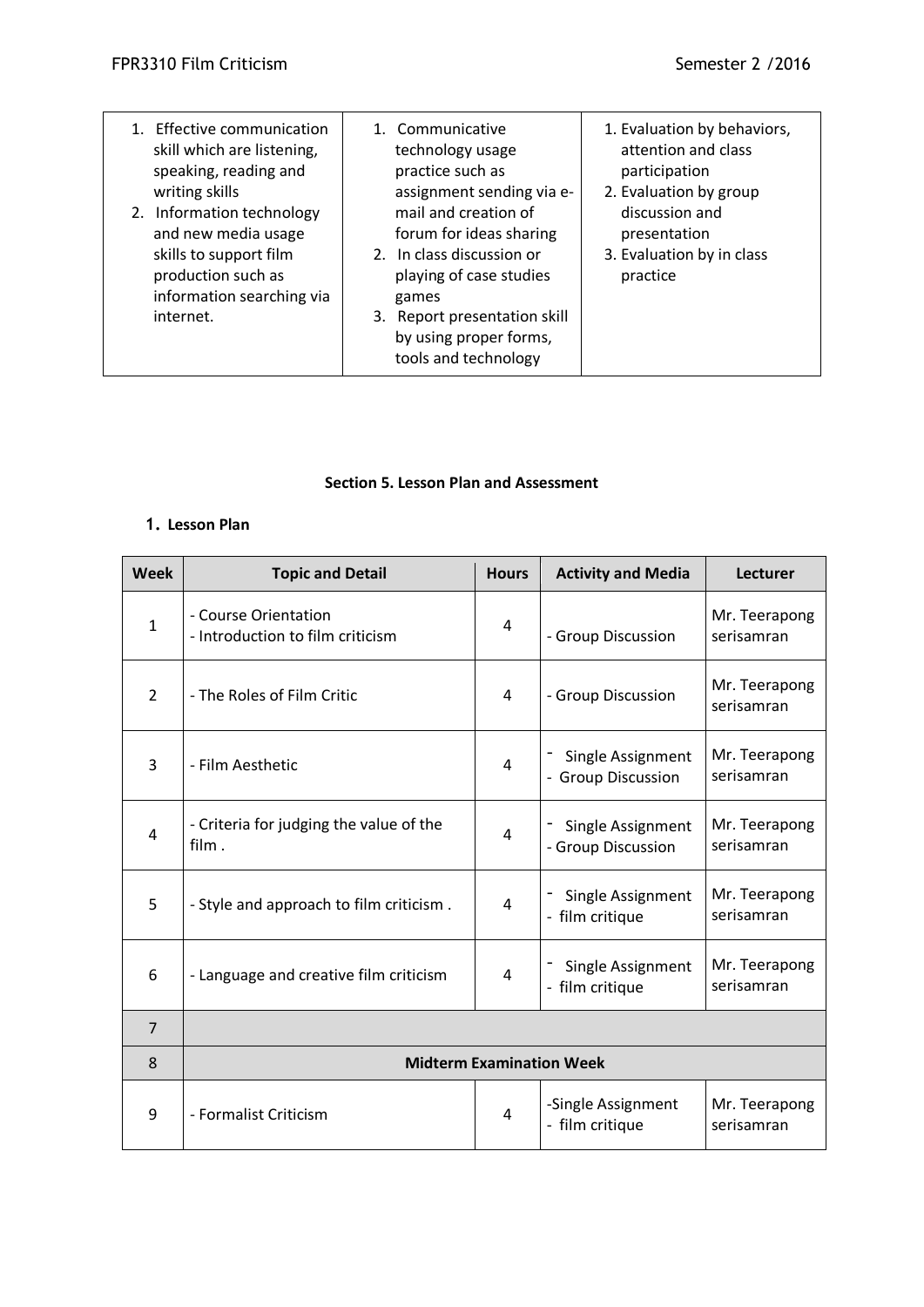| 1. Effective communication<br>skill which are listening,<br>speaking, reading and<br>writing skills<br>2. Information technology<br>and new media usage<br>skills to support film<br>production such as<br>information searching via<br>internet. | 1. Communicative<br>technology usage<br>practice such as<br>assignment sending via e-<br>mail and creation of<br>forum for ideas sharing<br>2. In class discussion or<br>playing of case studies<br>games<br>3. Report presentation skill<br>by using proper forms, | 1. Evaluation by behaviors,<br>attention and class<br>participation<br>2. Evaluation by group<br>discussion and<br>presentation<br>3. Evaluation by in class<br>practice |
|---------------------------------------------------------------------------------------------------------------------------------------------------------------------------------------------------------------------------------------------------|---------------------------------------------------------------------------------------------------------------------------------------------------------------------------------------------------------------------------------------------------------------------|--------------------------------------------------------------------------------------------------------------------------------------------------------------------------|
|                                                                                                                                                                                                                                                   | tools and technology                                                                                                                                                                                                                                                |                                                                                                                                                                          |

#### **Section 5. Lesson Plan and Assessment**

# **1. Lesson Plan**

| <b>Week</b>    | <b>Topic and Detail</b>                                  | <b>Hours</b> | <b>Activity and Media</b>               | <b>Lecturer</b>             |
|----------------|----------------------------------------------------------|--------------|-----------------------------------------|-----------------------------|
| $\mathbf{1}$   | - Course Orientation<br>- Introduction to film criticism | 4            | - Group Discussion                      | Mr. Teerapong<br>serisamran |
| $\overline{2}$ | - The Roles of Film Critic                               | 4            | - Group Discussion                      | Mr. Teerapong<br>serisamran |
| 3              | - Film Aesthetic                                         | 4            | Single Assignment<br>- Group Discussion | Mr. Teerapong<br>serisamran |
| $\overline{4}$ | - Criteria for judging the value of the<br>film.         | 4            | Single Assignment<br>- Group Discussion | Mr. Teerapong<br>serisamran |
| 5              | - Style and approach to film criticism.                  | 4            | Single Assignment<br>- film critique    | Mr. Teerapong<br>serisamran |
| 6              | - Language and creative film criticism                   | 4            | Single Assignment<br>- film critique    | Mr. Teerapong<br>serisamran |
| $\overline{7}$ |                                                          |              |                                         |                             |
| 8              | <b>Midterm Examination Week</b>                          |              |                                         |                             |
| 9              | - Formalist Criticism                                    | 4            | -Single Assignment<br>- film critique   | Mr. Teerapong<br>serisamran |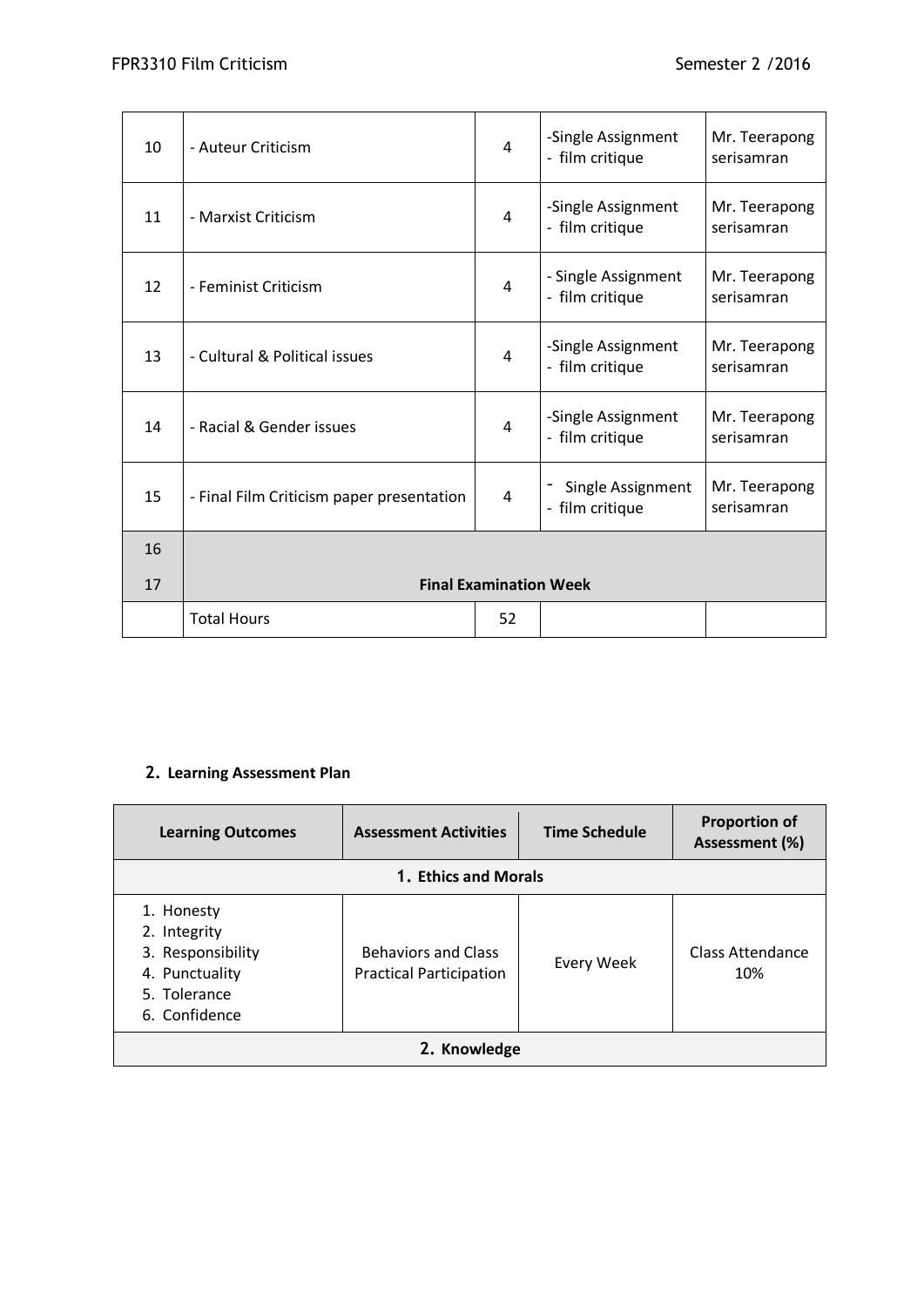| 10 | - Auteur Criticism                        | 4  | -Single Assignment<br>- film critique  | Mr. Teerapong<br>serisamran |
|----|-------------------------------------------|----|----------------------------------------|-----------------------------|
| 11 | - Marxist Criticism                       | 4  | -Single Assignment<br>- film critique  | Mr. Teerapong<br>serisamran |
| 12 | - Feminist Criticism                      | 4  | - Single Assignment<br>- film critique | Mr. Teerapong<br>serisamran |
| 13 | - Cultural & Political issues             | 4  | -Single Assignment<br>- film critique  | Mr. Teerapong<br>serisamran |
| 14 | - Racial & Gender issues                  | 4  | -Single Assignment<br>- film critique  | Mr. Teerapong<br>serisamran |
| 15 | - Final Film Criticism paper presentation | 4  | Single Assignment<br>- film critique   | Mr. Teerapong<br>serisamran |
| 16 |                                           |    |                                        |                             |
| 17 | <b>Final Examination Week</b>             |    |                                        |                             |
|    | <b>Total Hours</b>                        | 52 |                                        |                             |

# **2. Learning Assessment Plan**

| <b>Learning Outcomes</b>                                                                           | <b>Assessment Activities</b>                                 | <b>Time Schedule</b> | <b>Proportion of</b><br>Assessment (%) |
|----------------------------------------------------------------------------------------------------|--------------------------------------------------------------|----------------------|----------------------------------------|
|                                                                                                    | 1. Ethics and Morals                                         |                      |                                        |
| 1. Honesty<br>2. Integrity<br>3. Responsibility<br>4. Punctuality<br>5. Tolerance<br>6. Confidence | <b>Behaviors and Class</b><br><b>Practical Participation</b> | Every Week           | Class Attendance<br>10%                |
| 2. Knowledge                                                                                       |                                                              |                      |                                        |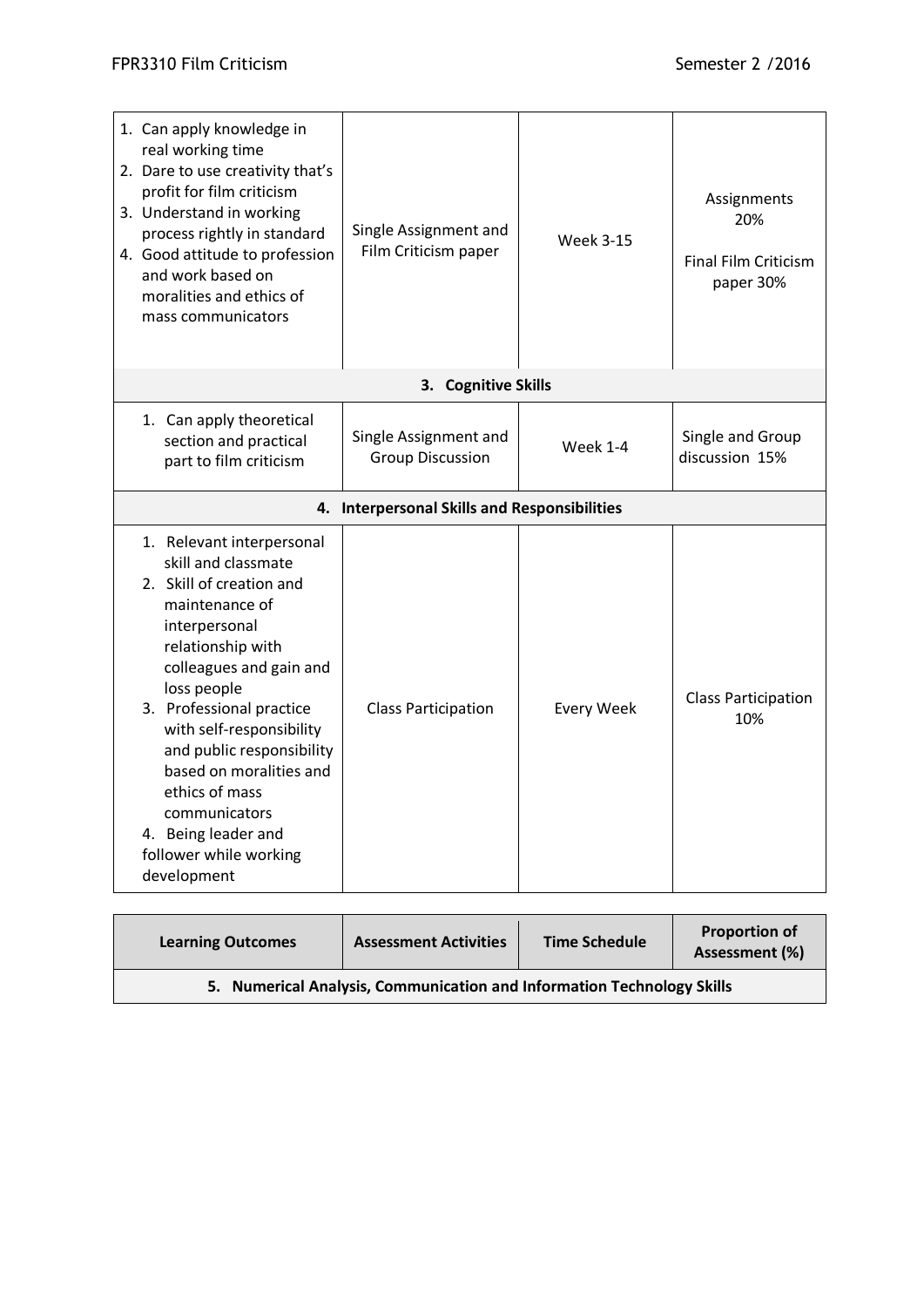| 1. Can apply knowledge in<br>real working time<br>2. Dare to use creativity that's<br>profit for film criticism<br>3. Understand in working<br>process rightly in standard<br>4. Good attitude to profession<br>and work based on<br>moralities and ethics of<br>mass communicators                                                                                                               | Single Assignment and<br>Film Criticism paper    | <b>Week 3-15</b>  | Assignments<br>20%<br><b>Final Film Criticism</b><br>paper 30% |
|---------------------------------------------------------------------------------------------------------------------------------------------------------------------------------------------------------------------------------------------------------------------------------------------------------------------------------------------------------------------------------------------------|--------------------------------------------------|-------------------|----------------------------------------------------------------|
|                                                                                                                                                                                                                                                                                                                                                                                                   | <b>Cognitive Skills</b><br>3.                    |                   |                                                                |
| 1. Can apply theoretical<br>section and practical<br>part to film criticism                                                                                                                                                                                                                                                                                                                       | Single Assignment and<br><b>Group Discussion</b> | <b>Week 1-4</b>   | Single and Group<br>discussion 15%                             |
|                                                                                                                                                                                                                                                                                                                                                                                                   | 4. Interpersonal Skills and Responsibilities     |                   |                                                                |
| 1. Relevant interpersonal<br>skill and classmate<br>2. Skill of creation and<br>maintenance of<br>interpersonal<br>relationship with<br>colleagues and gain and<br>loss people<br>3. Professional practice<br>with self-responsibility<br>and public responsibility<br>based on moralities and<br>ethics of mass<br>communicators<br>4. Being leader and<br>follower while working<br>development | <b>Class Participation</b>                       | <b>Every Week</b> | <b>Class Participation</b><br>10%                              |

| <b>Learning Outcomes</b>                                               | <b>Assessment Activities</b> | <b>Time Schedule</b> | <b>Proportion of</b><br>Assessment (%) |  |
|------------------------------------------------------------------------|------------------------------|----------------------|----------------------------------------|--|
| 5. Numerical Analysis, Communication and Information Technology Skills |                              |                      |                                        |  |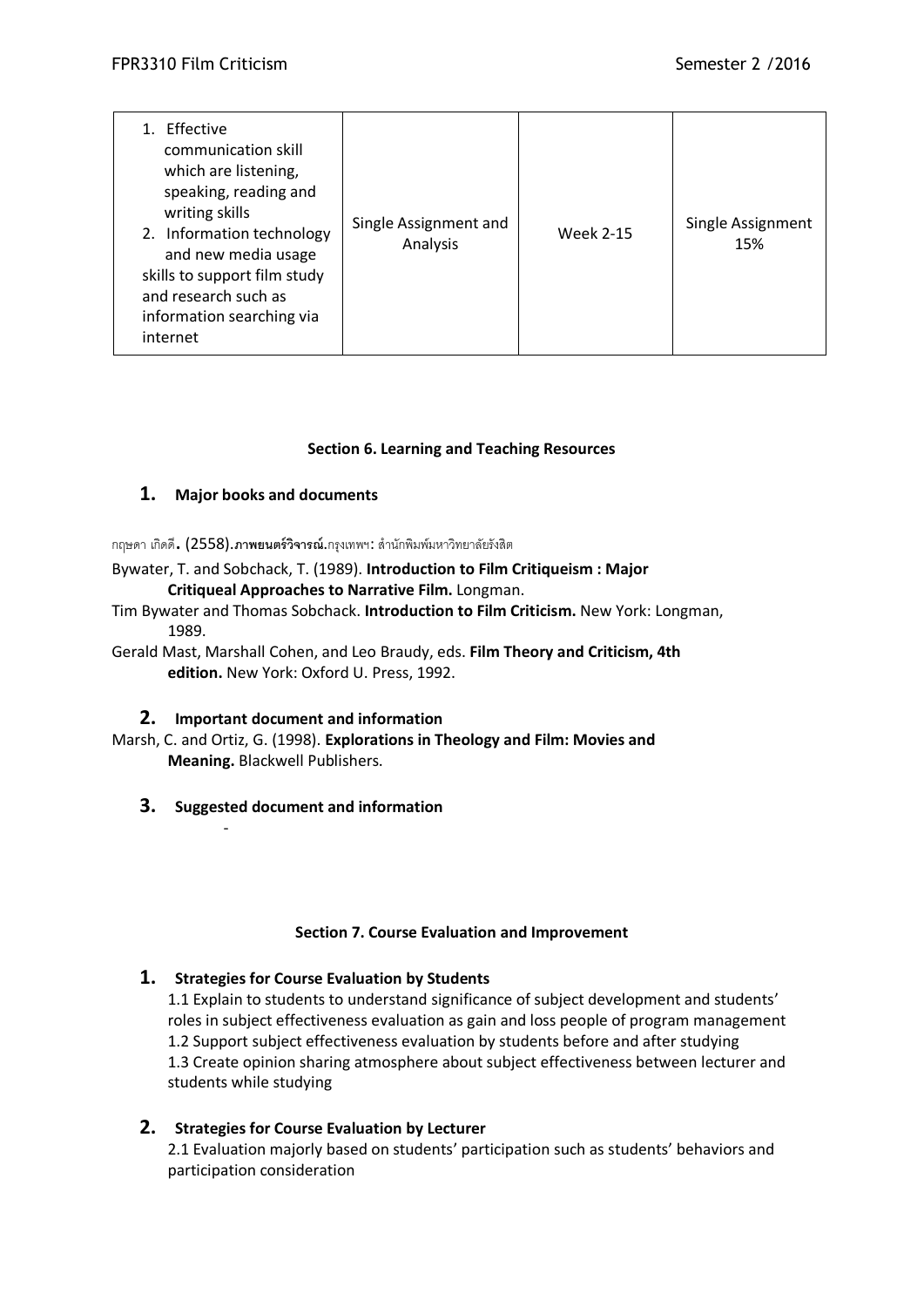| Effective<br>communication skill<br>which are listening,<br>speaking, reading and<br>writing skills<br>2. Information technology<br>and new media usage<br>skills to support film study<br>and research such as<br>information searching via<br>internet | Single Assignment and<br>Analysis | <b>Week 2-15</b> | Single Assignment<br>15% |
|----------------------------------------------------------------------------------------------------------------------------------------------------------------------------------------------------------------------------------------------------------|-----------------------------------|------------------|--------------------------|
|----------------------------------------------------------------------------------------------------------------------------------------------------------------------------------------------------------------------------------------------------------|-----------------------------------|------------------|--------------------------|

## **Section 6. Learning and Teaching Resources**

# **1. Major books and documents**

### กฤษดา เกิดดี. (2558).**ภาพยนตร์วิจารณ์**.กรุงเทพฯ: ส านักพิมพ์มหาวิทยาลัยรังสิต

- Bywater, T. and Sobchack, T. (1989). **Introduction to Film Critiqueism : Major Critiqueal Approaches to Narrative Film.** Longman.
- Tim Bywater and Thomas Sobchack. **Introduction to Film Criticism.** New York: Longman, 1989.
- Gerald Mast, Marshall Cohen, and Leo Braudy, eds. **Film Theory and Criticism, 4th edition.** New York: Oxford U. Press, 1992.

## **2. Important document and information**

- Marsh, C. and Ortiz, G. (1998). **Explorations in Theology and Film: Movies and Meaning.** Blackwell Publishers.
	- **3. Suggested document and information**

-

## **Section 7. Course Evaluation and Improvement**

**1. Strategies for Course Evaluation by Students**

1.1 Explain to students to understand significance of subject development and students' roles in subject effectiveness evaluation as gain and loss people of program management 1.2 Support subject effectiveness evaluation by students before and after studying 1.3 Create opinion sharing atmosphere about subject effectiveness between lecturer and students while studying

## **2. Strategies for Course Evaluation by Lecturer**

2.1 Evaluation majorly based on students' participation such as students' behaviors and participation consideration